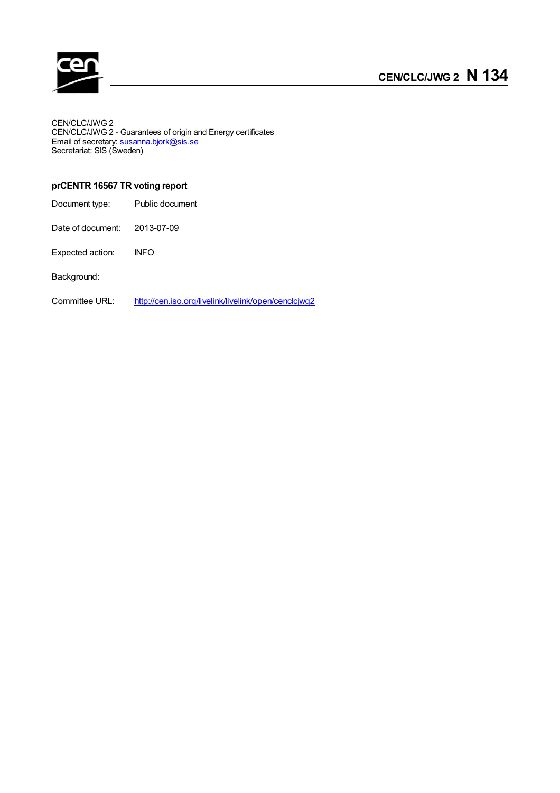

CEN/CLC/JWG 2 CEN/CLC/JWG 2 - Guarantees of origin and Energy certificates Email of secretary: **[susanna.bjork@sis.se](mailto:susanna.bjork@sis.se)** Secretariat: SIS (Sweden)

### **prCENTR 16567 TR voting report**

| Document type: | Public document |
|----------------|-----------------|
|----------------|-----------------|

Date of document: 2013-07-09

Expected action: INFO

Background:

Committee URL: <http://cen.iso.org/livelink/livelink/open/cenclcjwg2>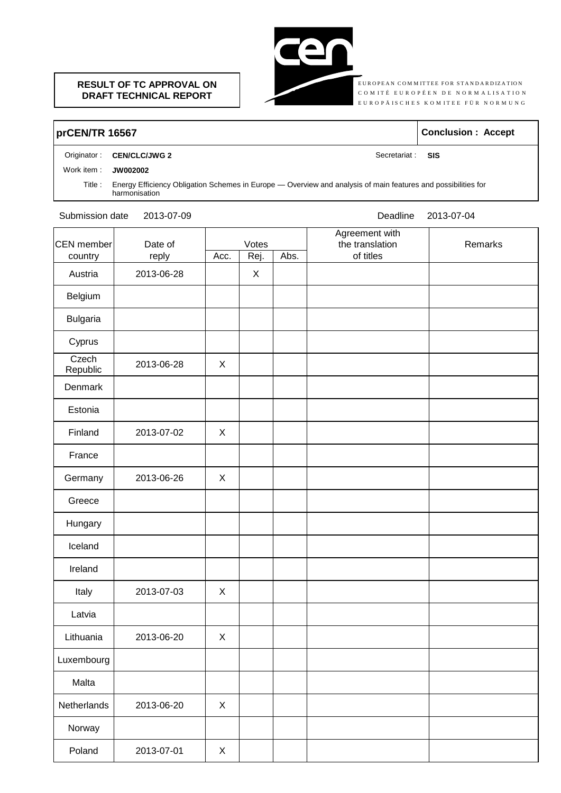### **RESULT OF TC APPROVAL ON DRAFT TECHNICAL REPORT**



**E** UROPEAN COMMITTEE FOR STANDARDIZATION EUROPEAN COMMITTEE FOR STANDARDIZATION<br>C O M I T É E U R O P É E N D E N O R M A L I S A T I O N COMITÉ EUROPÉEN DE NORMALISATION<br>EUROPÄISCHES KOMITEE FÜR NORMUNG

## **prCEN/TR 16567 Conclusion : Accept**

#### Originator : **CEN/CLC/JWG 2** Secretariat : SIS

#### Work item : **JW002002**

Title : Energy Efficiency Obligation Schemes in Europe — Overview and analysis of main features and possibilities for harmonisation

Submission date 2013-07-09 2013-07-04

| CEN member<br>Date of<br>reply<br>country |            |                | Votes        |           | Agreement with<br>the translation | Remarks |
|-------------------------------------------|------------|----------------|--------------|-----------|-----------------------------------|---------|
|                                           | Acc.       | Rej.           | Abs.         | of titles |                                   |         |
| Austria                                   | 2013-06-28 |                | $\mathsf{X}$ |           |                                   |         |
| Belgium                                   |            |                |              |           |                                   |         |
| <b>Bulgaria</b>                           |            |                |              |           |                                   |         |
| Cyprus                                    |            |                |              |           |                                   |         |
| Czech<br>Republic                         | 2013-06-28 | X              |              |           |                                   |         |
| Denmark                                   |            |                |              |           |                                   |         |
| Estonia                                   |            |                |              |           |                                   |         |
| Finland                                   | 2013-07-02 | X              |              |           |                                   |         |
| France                                    |            |                |              |           |                                   |         |
| Germany                                   | 2013-06-26 | X              |              |           |                                   |         |
| Greece                                    |            |                |              |           |                                   |         |
| Hungary                                   |            |                |              |           |                                   |         |
| Iceland                                   |            |                |              |           |                                   |         |
| Ireland                                   |            |                |              |           |                                   |         |
| Italy                                     | 2013-07-03 | X              |              |           |                                   |         |
| Latvia                                    |            |                |              |           |                                   |         |
| Lithuania                                 | 2013-06-20 | X              |              |           |                                   |         |
| Luxembourg                                |            |                |              |           |                                   |         |
| Malta                                     |            |                |              |           |                                   |         |
| Netherlands                               | 2013-06-20 | $\pmb{\times}$ |              |           |                                   |         |
| Norway                                    |            |                |              |           |                                   |         |
| Poland                                    | 2013-07-01 | X              |              |           |                                   |         |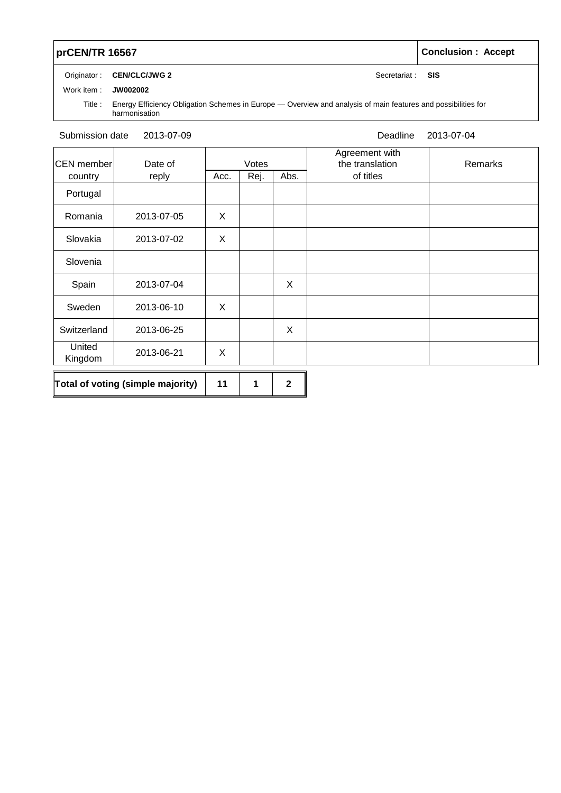# **prCEN/TR** 16567 **Conclusion : Accept**

Originator : **CEN/CLC/JWG 2** Secretariat : **SIS** 

Work item : **JW002002**

Title : Energy Efficiency Obligation Schemes in Europe — Overview and analysis of main features and possibilities for harmonisation

#### Submission date 2013-07-09 Deadline

2013-07-04

| <b>CEN</b> member | Date of                           |      | Votes |      | Agreement with<br>the translation | Remarks |
|-------------------|-----------------------------------|------|-------|------|-----------------------------------|---------|
| country           | reply                             | Acc. | Rej.  | Abs. | of titles                         |         |
| Portugal          |                                   |      |       |      |                                   |         |
| Romania           | 2013-07-05                        | X    |       |      |                                   |         |
| Slovakia          | 2013-07-02                        | X    |       |      |                                   |         |
| Slovenia          |                                   |      |       |      |                                   |         |
| Spain             | 2013-07-04                        |      |       | X    |                                   |         |
| Sweden            | 2013-06-10                        | X    |       |      |                                   |         |
| Switzerland       | 2013-06-25                        |      |       | X    |                                   |         |
| United<br>Kingdom | 2013-06-21                        | X    |       |      |                                   |         |
|                   | Total of voting (simple majority) | 11   | 1     | 2    |                                   |         |